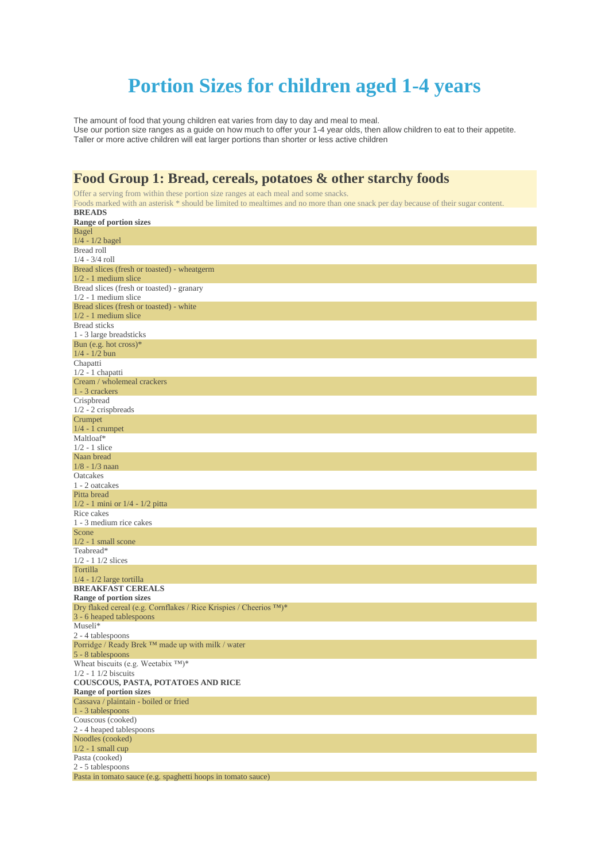# **Portion Sizes for children aged 1-4 years**

The amount of food that young children eat varies from day to day and meal to meal. Use our portion size ranges as a guide on how much to offer your 1-4 year olds, then allow children to eat to their appetite. Taller or more active children will eat larger portions than shorter or less active children

# **Food Group 1: Bread, cereals, potatoes & other starchy foods**

Offer a serving from within these portion size ranges at each meal and some snacks. Foods marked with an asterisk \* should be limited to mealtimes and no more than one snack per day because of their sugar content. **BREADS**

| Range of portion sizes                                             |
|--------------------------------------------------------------------|
| <b>Bagel</b>                                                       |
| $1/4 - 1/2$ bagel                                                  |
| Bread roll                                                         |
| $1/4 - 3/4$ roll                                                   |
| Bread slices (fresh or toasted) - wheatgerm                        |
| $1/2 - 1$ medium slice                                             |
| Bread slices (fresh or toasted) - granary                          |
| $1/2 - 1$ medium slice                                             |
| Bread slices (fresh or toasted) - white                            |
| $1/2 - 1$ medium slice                                             |
| <b>Bread</b> sticks                                                |
| 1 - 3 large breadsticks                                            |
| Bun (e.g. hot $\csc$ )*                                            |
| $1/4 - 1/2$ bun                                                    |
| Chapatti                                                           |
| $1/2 - 1$ chapatti                                                 |
| Cream / wholemeal crackers                                         |
| 1 - 3 crackers                                                     |
| Crispbread                                                         |
| $1/2 - 2$ crispbreads                                              |
| Crumpet                                                            |
| $1/4 - 1$ crumpet                                                  |
| Maltloaf*                                                          |
| $1/2 - 1$ slice                                                    |
| Naan bread                                                         |
| $1/8 - 1/3$ naan                                                   |
| Oatcakes                                                           |
| 1 - 2 oatcakes                                                     |
| Pitta bread                                                        |
| $1/2 - 1$ mini or $1/4 - 1/2$ pitta                                |
| Rice cakes                                                         |
| 1 - 3 medium rice cakes                                            |
| Scone                                                              |
| $1/2 - 1$ small scone                                              |
| Teabread*                                                          |
| $1/2 - 1$ 1/2 slices                                               |
| Tortilla                                                           |
| $1/4 - 1/2$ large tortilla                                         |
| <b>BREAKFAST CEREALS</b>                                           |
| Range of portion sizes                                             |
| Dry flaked cereal (e.g. Cornflakes / Rice Krispies / Cheerios TM)* |
| 3 - 6 heaped tablespoons                                           |
| Museli*                                                            |
| 2 - 4 tablespoons                                                  |
| Porridge / Ready Brek ™ made up with milk / water                  |
| 5 - 8 tablespoons                                                  |
| Wheat biscuits (e.g. Weetabix TM)*                                 |
| $1/2 - 1$ 1/2 biscuits                                             |
| COUSCOUS, PASTA, POTATOES AND RICE                                 |
| Range of portion sizes                                             |
| Cassava / plaintain - boiled or fried                              |
| 1 - 3 tablespoons                                                  |
| Couscous (cooked)                                                  |
| 2 - 4 heaped tablespoons                                           |
| Noodles (cooked)                                                   |
| $1/2 - 1$ small cup                                                |
| Pasta (cooked)                                                     |
| 2 - 5 tablespoons                                                  |
| Pasta in tomato sauce (e.g. spaghetti hoops in tomato sauce)       |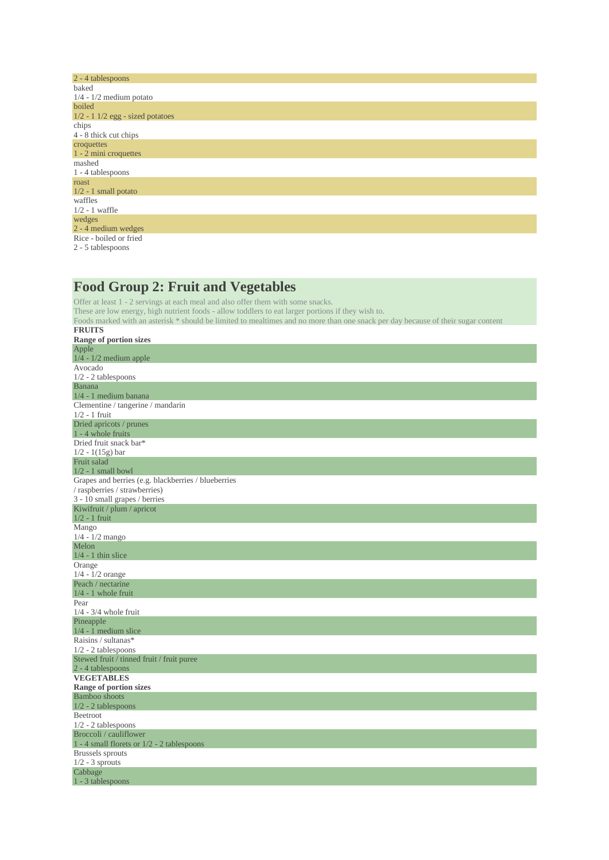| 2 - 4 tablespoons                  |
|------------------------------------|
| baked                              |
| $1/4 - 1/2$ medium potato          |
| boiled                             |
| $1/2 - 1$ 1/2 egg - sized potatoes |
| chips                              |
| 4 - 8 thick cut chips              |
| croquettes                         |
| 1 - 2 mini croquettes              |
| mashed                             |
| 1 - 4 tablespoons                  |
| roast                              |
| $1/2 - 1$ small potato             |
| waffles                            |
| $1/2 - 1$ waffle                   |
| wedges                             |
| 2 - 4 medium wedges                |
| Rice - boiled or fried             |
| 2 - 5 tablespoons                  |
|                                    |

#### **Food Group 2: Fruit and Vegetables**

Offer at least 1 - 2 servings at each meal and also offer them with some snacks. These are low energy, high nutrient foods - allow toddlers to eat larger portions if they wish to. Foods marked with an asterisk \* should be limited to mealtimes and no more than one snack per day because of their sugar content **FRUITS Range of portion sizes** Apple 1/4 - 1/2 medium apple Avocado 1/2 - 2 tablespoons Banana 1/4 - 1 medium banana Clementine / tangerine / mandarin 1/2 - 1 fruit Dried apricots / prunes 1 - 4 whole fruits Dried fruit snack bar\* 1/2 - 1(15g) bar Fruit salad  $1/2 - 1$  small bowl Grapes and berries (e.g. blackberries / blueberries / raspberries / strawberries) 3 - 10 small grapes / berries Kiwifruit / plum / apricot 1/2 - 1 fruit Mango 1/4 - 1/2 mango Melon 1/4 - 1 thin slice Orange 1/4 - 1/2 orange Peach / nectarine 1/4 - 1 whole fruit Pear 1/4 - 3/4 whole fruit Pineapple  $1/4 - 1$  medium slice Raisins / sultanas\* 1/2 - 2 tablespoons Stewed fruit / tinned fruit / fruit puree 2 - 4 tablespoons **VEGETABLES Range of portion sizes** Bamboo shoots 1/2 - 2 tablespoons Beetroot 1/2 - 2 tablespoons Broccoli / cauliflower 1 - 4 small florets or 1/2 - 2 tablespoons Brussels sprouts  $1/2 - 3$  sprouts Cabbage 1 - 3 tablespoons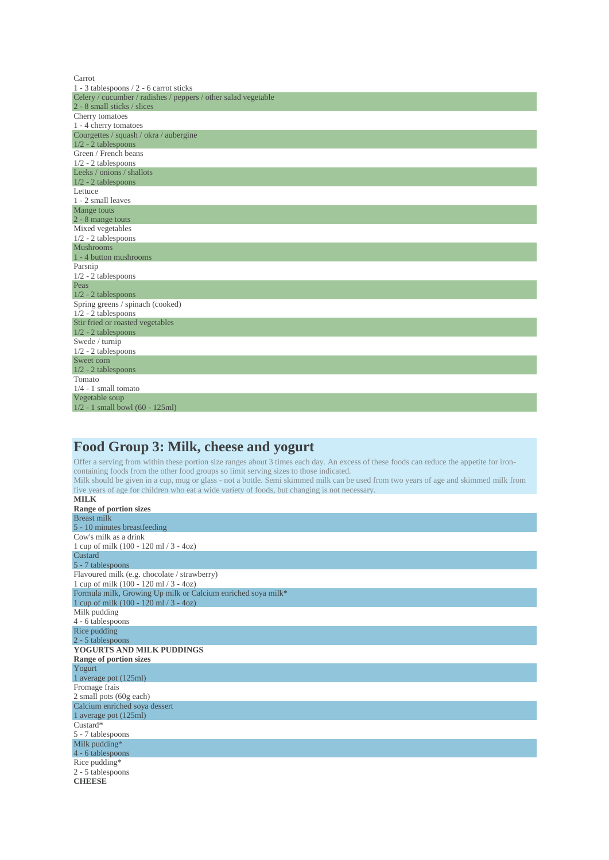| Carrot                                                         |
|----------------------------------------------------------------|
| 1 - 3 tablespoons $/ 2$ - 6 carrot sticks                      |
| Celery / cucumber / radishes / peppers / other salad vegetable |
| 2 - 8 small sticks / slices                                    |
| Cherry tomatoes                                                |
| 1 - 4 cherry tomatoes                                          |
| Courgettes / squash / okra / aubergine                         |
| $1/2 - 2$ tablespoons                                          |
| Green / French beans                                           |
| $1/2 - 2$ tablespoons                                          |
| Leeks / onions / shallots                                      |
| $1/2 - 2$ tablespoons                                          |
| Lettuce                                                        |
| 1 - 2 small leaves                                             |
| Mange touts                                                    |
| 2 - 8 mange touts                                              |
| Mixed vegetables                                               |
| $1/2 - 2$ tablespoons                                          |
| <b>Mushrooms</b>                                               |
| 1 - 4 button mushrooms                                         |
| Parsnip                                                        |
| $1/2 - 2$ tablespoons                                          |
| Peas                                                           |
| $1/2 - 2$ tablespoons                                          |
| Spring greens / spinach (cooked)                               |
| $1/2 - 2$ tablespoons                                          |
| Stir fried or roasted vegetables                               |
| $1/2 - 2$ tablespoons                                          |
| Swede / turnip                                                 |
| $1/2 - 2$ tablespoons                                          |
| Sweet corn                                                     |
| $1/2 - 2$ tablespoons                                          |
| Tomato                                                         |
| $1/4 - 1$ small tomato                                         |
| Vegetable soup                                                 |
| $1/2 - 1$ small bowl (60 - 125ml)                              |

# **Food Group 3: Milk, cheese and yogurt**

Offer a serving from within these portion size ranges about 3 times each day. An excess of these foods can reduce the appetite for ironcontaining foods from the other food groups so limit serving sizes to those indicated.

Milk should be given in a cup, mug or glass - not a bottle. Semi skimmed milk can be used from two years of age and skimmed milk from five years of age for children who eat a wide variety of foods, but changing is not necessary.

| <b>MILK</b>                                                  |
|--------------------------------------------------------------|
| Range of portion sizes                                       |
| <b>Breast milk</b>                                           |
| 5 - 10 minutes breastfeeding                                 |
| Cow's milk as a drink                                        |
| 1 cup of milk $(100 - 120 \text{ ml} / 3 - 40z)$             |
| Custard                                                      |
| 5 - 7 tablespoons                                            |
| Flavoured milk (e.g. chocolate / strawberry)                 |
| 1 cup of milk (100 - 120 ml / 3 - 4oz)                       |
| Formula milk, Growing Up milk or Calcium enriched soya milk* |
| 1 cup of milk $(100 - 120 \text{ ml} / 3 - 40z)$             |
| Milk pudding                                                 |
| 4 - 6 tablespoons                                            |
| Rice pudding                                                 |
| 2 - 5 tablespoons                                            |
| YOGURTS AND MILK PUDDINGS                                    |
| Range of portion sizes                                       |
| Yogurt                                                       |
| 1 average pot (125ml)                                        |
| Fromage frais                                                |
| 2 small pots (60g each)                                      |
| Calcium enriched soya dessert                                |
| 1 average pot (125ml)                                        |
| $Custard*$                                                   |
| 5 - 7 tablespoons                                            |
| Milk pudding*                                                |
| 4 - 6 tablespoons                                            |
| Rice pudding*                                                |
| 2 - 5 tablespoons                                            |
| <b>CHEESE</b>                                                |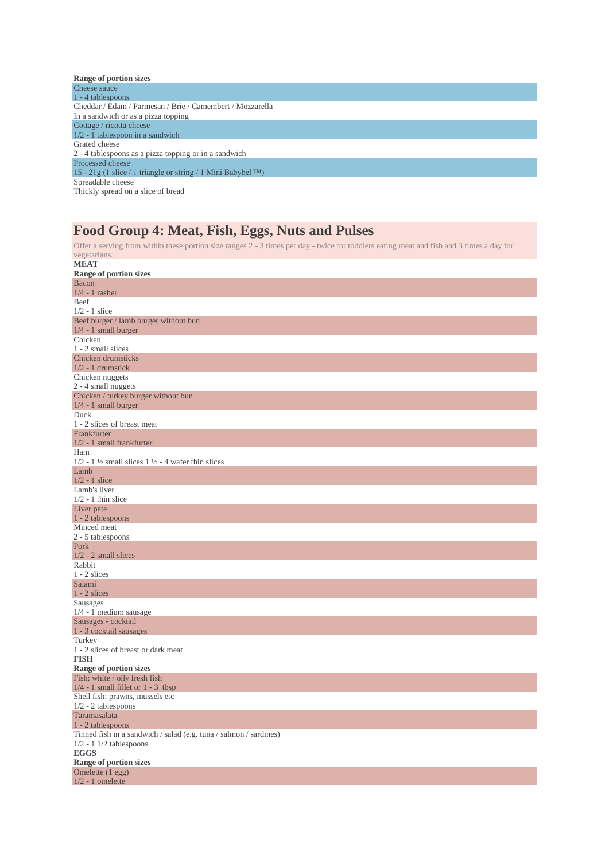| Range of portion sizes                                           |
|------------------------------------------------------------------|
| Cheese sauce                                                     |
| 1 - 4 tablespoons                                                |
| Cheddar / Edam / Parmesan / Brie / Camembert / Mozzarella        |
| In a sandwich or as a pizza topping                              |
| Cottage / ricotta cheese                                         |
| $1/2$ - 1 tablespoon in a sandwich                               |
| Grated cheese                                                    |
| 2 - 4 tablespoons as a pizza topping or in a sandwich            |
| Processed cheese                                                 |
| 15 - 21g (1 slice / 1 triangle or string / 1 Mini Babybel $TM$ ) |
| Spreadable cheese                                                |
| Thickly spread on a slice of bread                               |
|                                                                  |

### **Food Group 4: Meat, Fish, Eggs, Nuts and Pulses**

| Offer a serving from within these portion size ranges 2 - 3 times per day - twice for toddlers eating meat and fish and 3 times a day for |
|-------------------------------------------------------------------------------------------------------------------------------------------|
| vegetarians.<br><b>MEAT</b>                                                                                                               |
| Range of portion sizes                                                                                                                    |
| Bacon                                                                                                                                     |
| $1/4 - 1$ rasher                                                                                                                          |
| Beef                                                                                                                                      |
| $1/2 - 1$ slice                                                                                                                           |
| Beef burger / lamb burger without bun                                                                                                     |
| $1/4 - 1$ small burger                                                                                                                    |
| Chicken                                                                                                                                   |
| 1 - 2 small slices                                                                                                                        |
| Chicken drumsticks                                                                                                                        |
| $1/2$ - 1 drumstick                                                                                                                       |
| Chicken nuggets                                                                                                                           |
| 2 - 4 small nuggets                                                                                                                       |
| Chicken / turkey burger without bun                                                                                                       |
| $1/4 - 1$ small burger<br>Duck                                                                                                            |
| 1 - 2 slices of breast meat                                                                                                               |
| Frankfurter                                                                                                                               |
| $1/2$ - 1 small frankfurter                                                                                                               |
| Ham                                                                                                                                       |
| $1/2$ - 1 $\frac{1}{2}$ small slices 1 $\frac{1}{2}$ - 4 wafer thin slices                                                                |
| Lamb                                                                                                                                      |
| $1/2 - 1$ slice                                                                                                                           |
| Lamb's liver                                                                                                                              |
| $1/2 - 1$ thin slice                                                                                                                      |
| Liver pate                                                                                                                                |
| 1 - 2 tablespoons                                                                                                                         |
| Minced meat                                                                                                                               |
| 2 - 5 tablespoons                                                                                                                         |
| Pork<br>$1/2 - 2$ small slices                                                                                                            |
| Rabbit                                                                                                                                    |
| $1 - 2$ slices                                                                                                                            |
| Salami                                                                                                                                    |
| $1 - 2$ slices                                                                                                                            |
| Sausages                                                                                                                                  |
| $1/4 - 1$ medium sausage                                                                                                                  |
| Sausages - cocktail                                                                                                                       |
| 1 - 3 cocktail sausages                                                                                                                   |
| Turkey                                                                                                                                    |
| 1 - 2 slices of breast or dark meat                                                                                                       |
| <b>FISH</b>                                                                                                                               |
| Range of portion sizes                                                                                                                    |
| Fish: white / oily fresh fish                                                                                                             |
| $1/4$ - 1 small fillet or 1 - 3 tbsp<br>Shell fish: prawns, mussels etc.                                                                  |
| $1/2 - 2$ tablespoons                                                                                                                     |
| Taramasalata                                                                                                                              |
| 1 - 2 tablespoons                                                                                                                         |
| Tinned fish in a sandwich / salad (e.g. tuna / salmon / sardines)                                                                         |
| $1/2 - 1$ 1/2 tablespoons                                                                                                                 |
| <b>EGGS</b>                                                                                                                               |
| Range of portion sizes                                                                                                                    |
| Omelette (1 egg)                                                                                                                          |
| $1/2 - 1$ omelette                                                                                                                        |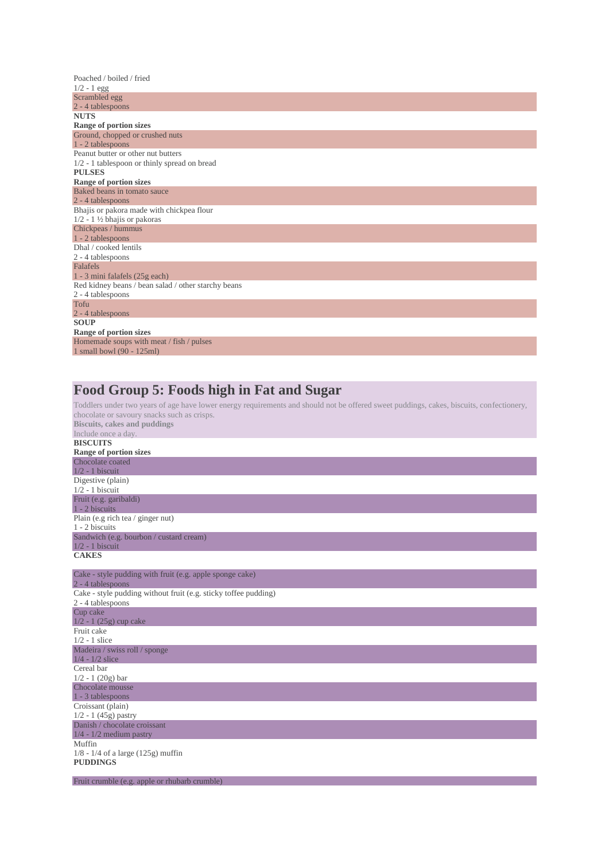| Poached / boiled / fried                            |
|-----------------------------------------------------|
| $1/2 - 1$ egg                                       |
| Scrambled egg                                       |
| 2 - 4 tablespoons                                   |
| <b>NUTS</b>                                         |
| Range of portion sizes                              |
| Ground, chopped or crushed nuts                     |
| 1 - 2 tablespoons                                   |
| Peanut butter or other nut butters                  |
| $1/2$ - 1 tablespoon or thinly spread on bread      |
| <b>PULSES</b>                                       |
| Range of portion sizes                              |
| Baked beans in tomato sauce                         |
| 2 - 4 tablespoons                                   |
| Bhajis or pakora made with chickpea flour           |
| $1/2 - 1$ ½ bhajis or pakoras                       |
| Chickpeas / hummus                                  |
| 1 - 2 tablespoons                                   |
| Dhal / cooked lentils                               |
| 2 - 4 tablespoons                                   |
| Falafels                                            |
| 1 - 3 mini falafels (25g each)                      |
| Red kidney beans / bean salad / other starchy beans |
| 2 - 4 tablespoons                                   |
| Tofu                                                |
| 2 - 4 tablespoons                                   |
| <b>SOUP</b>                                         |
| Range of portion sizes                              |
| Homemade soups with meat / fish / pulses            |
| 1 small bowl (90 - 125ml)                           |

## **Food Group 5: Foods high in Fat and Sugar**

Toddlers under two years of age have lower energy requirements and should not be offered sweet puddings, cakes, biscuits, confectionery, chocolate or savoury snacks such as crisps.

| <b>Biscuits, cakes and puddings</b>                             |
|-----------------------------------------------------------------|
| Include once a day.                                             |
| <b>BISCUITS</b>                                                 |
| Range of portion sizes                                          |
| Chocolate coated                                                |
| $1/2 - 1$ biscuit                                               |
| Digestive (plain)                                               |
| $1/2 - 1$ biscuit                                               |
| Fruit (e.g. garibaldi)                                          |
| 1 - 2 biscuits                                                  |
| Plain (e.g rich tea / ginger nut)                               |
| 1 - 2 biscuits                                                  |
| Sandwich (e.g. bourbon / custard cream)                         |
| $1/2 - 1$ biscuit                                               |
| <b>CAKES</b>                                                    |
|                                                                 |
| Cake - style pudding with fruit (e.g. apple sponge cake)        |
| 2 - 4 tablespoons                                               |
| Cake - style pudding without fruit (e.g. sticky toffee pudding) |
| 2 - 4 tablespoons                                               |
| Cup cake                                                        |
| $1/2 - 1$ (25g) cup cake                                        |
| Fruit cake                                                      |
| $1/2 - 1$ slice                                                 |
| Madeira / swiss roll / sponge                                   |
| $1/4 - 1/2$ slice                                               |
| Cereal bar                                                      |
| $1/2 - 1$ (20g) bar                                             |
| Chocolate mousse                                                |
| 1 - 3 tablespoons                                               |
| Croissant (plain)                                               |
| $1/2 - 1$ (45g) pastry                                          |
| Danish / chocolate croissant                                    |
| $1/4$ - $1/2$ medium pastry                                     |
| Muffin                                                          |
| $1/8 - 1/4$ of a large (125g) muffin                            |
| <b>PUDDINGS</b>                                                 |
|                                                                 |

Fruit crumble (e.g. apple or rhubarb crumble)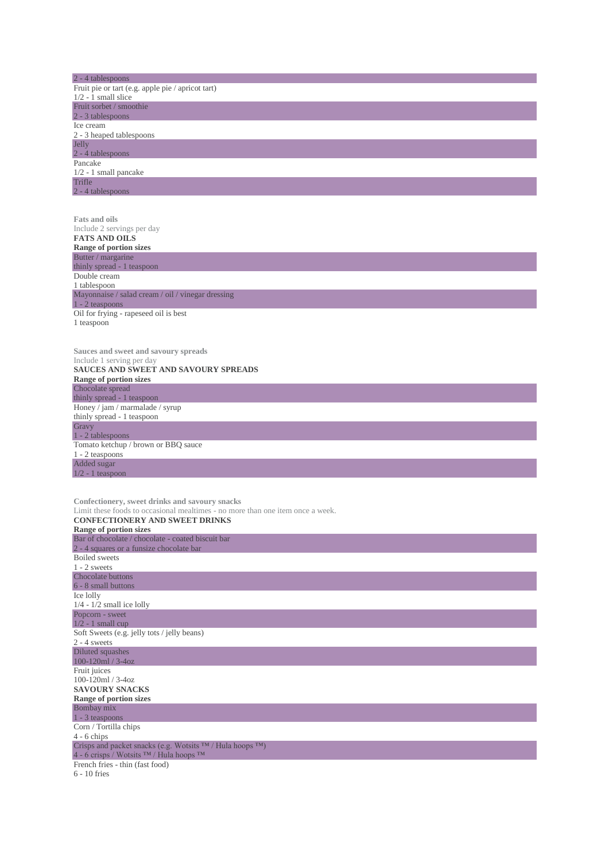| 2 - 4 tablespoons<br>Fruit pie or tart (e.g. apple pie / apricot tart)                                                  |
|-------------------------------------------------------------------------------------------------------------------------|
| $1/2 - 1$ small slice<br>Fruit sorbet / smoothie                                                                        |
| 2 - 3 tablespoons                                                                                                       |
| Ice cream<br>2 - 3 heaped tablespoons                                                                                   |
| <b>Jelly</b>                                                                                                            |
| 2 - 4 tablespoons<br>Pancake                                                                                            |
| $1/2 - 1$ small pancake<br>Trifle                                                                                       |
| 2 - 4 tablespoons                                                                                                       |
|                                                                                                                         |
| <b>Fats and oils</b>                                                                                                    |
| Include 2 servings per day<br><b>FATS AND OILS</b>                                                                      |
| Range of portion sizes                                                                                                  |
| Butter / margarine<br>thinly spread - 1 teaspoon                                                                        |
| Double cream<br>1 tablespoon                                                                                            |
| Mayonnaise / salad cream / oil / vinegar dressing                                                                       |
| $1 - 2$ teaspoons<br>Oil for frying - rapeseed oil is best                                                              |
| 1 teaspoon                                                                                                              |
|                                                                                                                         |
| Sauces and sweet and savoury spreads                                                                                    |
| Include 1 serving per day<br>SAUCES AND SWEET AND SAVOURY SPREADS                                                       |
| Range of portion sizes                                                                                                  |
| Chocolate spread<br>thinly spread - 1 teaspoon                                                                          |
| Honey / jam / marmalade / syrup                                                                                         |
| thinly spread - 1 teaspoon<br>Gravy                                                                                     |
| 1 - 2 tablespoons                                                                                                       |
| Tomato ketchup / brown or BBQ sauce<br>1 - 2 teaspoons                                                                  |
| Added sugar<br>$1/2 - 1$ teaspoon                                                                                       |
|                                                                                                                         |
| Confectionery, sweet drinks and savoury snacks                                                                          |
| Limit these foods to occasional mealtimes - no more than one item once a week.<br><b>CONFECTIONERY AND SWEET DRINKS</b> |
| Range of portion sizes                                                                                                  |
| Bar of chocolate / chocolate - coated biscuit bar<br>2 - 4 squares or a funsize chocolate bar                           |
| <b>Boiled</b> sweets                                                                                                    |
| $1 - 2$ sweets<br>Chocolate buttons                                                                                     |
| 6 - 8 small buttons                                                                                                     |
| Ice lolly<br>$1/4$ - $1/2$ small ice lolly                                                                              |
| Popcorn - sweet                                                                                                         |
| $1/2 - 1$ small cup<br>Soft Sweets (e.g. jelly tots / jelly beans)                                                      |
| $2 - 4$ sweets                                                                                                          |
| Diluted squashes<br>100-120ml / 3-4oz                                                                                   |
| Fruit juices                                                                                                            |
| 100-120ml / 3-4oz<br><b>SAVOURY SNACKS</b>                                                                              |
| Range of portion sizes                                                                                                  |
| Bombay mix<br>1 - 3 teaspoons                                                                                           |
| Corn / Tortilla chips<br>$4 - 6$ chips                                                                                  |
| Crisps and packet snacks (e.g. Wotsits TM / Hula hoops TM)                                                              |
| 4 - 6 crisps / Wotsits ™ / Hula hoops ™<br>French fries - thin (fast food)                                              |
| $6 - 10$ fries                                                                                                          |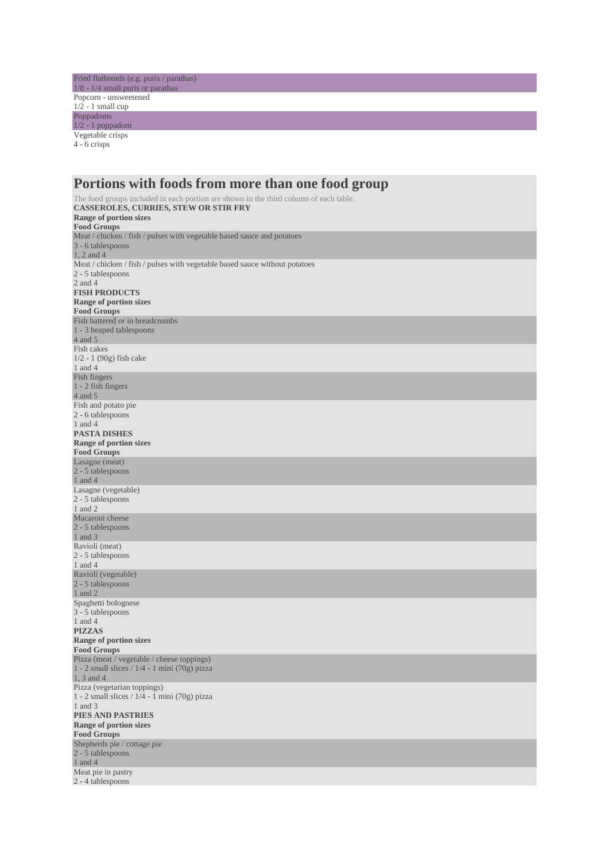Fried flatbreads (e.g. puris / parathas) 1/8 - 1/4 small puris or parathas Popcorn - unsweetened  $1/2 - 1$  small cup Poppadoms 1/2 - 1 poppadom Vegetable crisps

4 - 6 crisps

| Portions with foods from more than one food group                                                                                                                                     |
|---------------------------------------------------------------------------------------------------------------------------------------------------------------------------------------|
| The food groups included in each portion are shown in the third column of each table.<br>CASSEROLES, CURRIES, STEW OR STIR FRY<br><b>Range of portion sizes</b><br><b>Food Groups</b> |
| Meat / chicken / fish / pulses with vegetable based sauce and potatoes<br>3 - 6 tablespoons<br>$1, 2$ and $4$                                                                         |
| Meat / chicken / fish / pulses with vegetable based sauce without potatoes<br>2 - 5 tablespoons                                                                                       |
| 2 and 4<br><b>FISH PRODUCTS</b><br><b>Range of portion sizes</b>                                                                                                                      |
| <b>Food Groups</b><br>Fish battered or in breadcrumbs<br>1 - 3 heaped tablespoons<br>4 and 5                                                                                          |
| Fish cakes<br>$1/2 - 1$ (90g) fish cake                                                                                                                                               |
| 1 and 4<br>Fish fingers<br>$1 - 2$ fish fingers<br>4 and 5                                                                                                                            |
| Fish and potato pie.<br>2 - 6 tablespoons<br>1 and 4<br><b>PASTA DISHES</b><br><b>Range of portion sizes</b>                                                                          |
| <b>Food Groups</b><br>Lasagne (meat)<br>2 - 5 tablespoons<br>1 and 4                                                                                                                  |
| Lasagne (vegetable)<br>2 - 5 tablespoons<br>1 and 2                                                                                                                                   |
| Macaroni cheese<br>2 - 5 tablespoons<br>1 and $3$                                                                                                                                     |
| Ravioli (meat)<br>2 - 5 tablespoons<br>1 and 4                                                                                                                                        |
| Ravioli (vegetable)<br>2 - 5 tablespoons<br>1 and $2$                                                                                                                                 |
| Spaghetti bolognese<br>3 - 5 tablespoons<br>1 and 4<br>PIZZAS<br><b>Range of portion sizes</b>                                                                                        |
| <b>Food Groups</b><br>Pizza (meat / vegetable / cheese toppings)<br>1 - 2 small slices $/ 1/4$ - 1 mini (70g) pizza                                                                   |
| 1, 3 and 4<br>Pizza (vegetarian toppings)<br>1 - 2 small slices $/ 1/4$ - 1 mini (70g) pizza<br>1 and 3<br>PIES AND PASTRIES<br><b>Range of portion sizes</b><br><b>Food Groups</b>   |
| Shepherds pie / cottage pie<br>2 - 5 tablespoons<br>$1$ and $4$                                                                                                                       |
| Meat pie in pastry<br>2 - 4 tablespoons                                                                                                                                               |